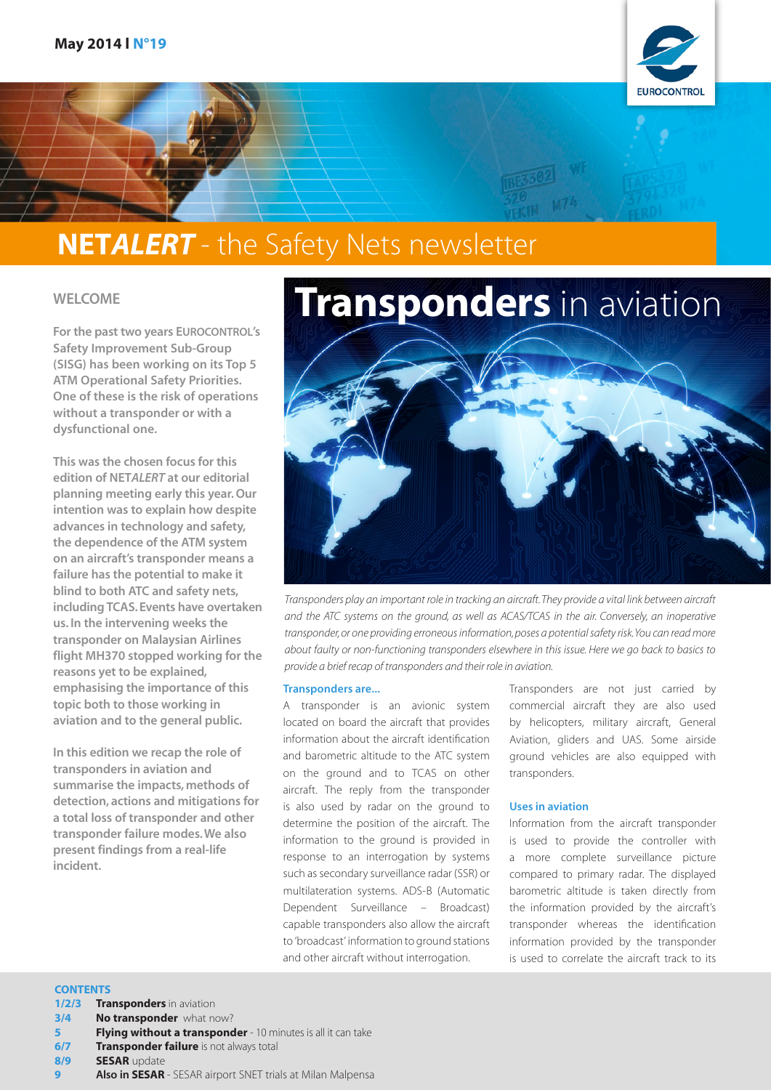

## NET*ALERT* - the Safety Nets newsletter

#### WELCOME

For the past two years EUROCONTROL's Safety Improvement Sub-Group (SISG) has been working on its Top 5 ATM Operational Safety Priorities. One of these is the risk of operations without a transponder or with a dysfunctional one.

This was the chosen focus for this edition of NET*ALERT* at our editorial planning meeting early this year. Our intention was to explain how despite advances in technology and safety, the dependence of the ATM system on an aircraft's transponder means a failure has the potential to make it blind to both ATC and safety nets, including TCAS. Events have overtaken us. In the intervening weeks the transponder on Malaysian Airlines flight MH370 stopped working for the reasons yet to be explained, emphasising the importance of this topic both to those working in aviation and to the general public.

In this edition we recap the role of transponders in aviation and summarise the impacts, methods of detection, actions and mitigations for a total loss of transponder and other transponder failure modes. We also present findings from a real-life incident.



*Transponders play an important role in tracking an aircraft. They provide a vital link between aircraft and the ATC systems on the ground, as well as ACAS/TCAS in the air. Conversely, an inoperative transponder, or one providing erroneous information, poses a potential safety risk. You can read more about faulty or non-functioning transponders elsewhere in this issue. Here we go back to basics to provide a brief recap of transponders and their role in aviation.* 

#### Transponders are...

A transponder is an avionic system located on board the aircraft that provides information about the aircraft identification and barometric altitude to the ATC system on the ground and to TCAS on other aircraft. The reply from the transponder is also used by radar on the ground to determine the position of the aircraft. The information to the ground is provided in response to an interrogation by systems such as secondary surveillance radar (SSR) or multilateration systems. ADS-B (Automatic Dependent Surveillance – Broadcast) capable transponders also allow the aircraft to 'broadcast' information to ground stations and other aircraft without interrogation.

Transponders are not just carried by commercial aircraft they are also used by helicopters, military aircraft, General Aviation, gliders and UAS. Some airside ground vehicles are also equipped with transponders.

#### Uses in aviation

Information from the aircraft transponder is used to provide the controller with a more complete surveillance picture compared to primary radar. The displayed barometric altitude is taken directly from the information provided by the aircraft's transponder whereas the identification information provided by the transponder is used to correlate the aircraft track to its

#### **CONTENTS**

- 1/2/3 **Transponders** in aviation
- **3/4 No transponder** what now?
- Flying without a transponder 10 minutes is all it can take
- **6/7 Transponder failure** is not always total
- 8/9 **SESAR** update
- Also in SESAR SESAR airport SNET trials at Milan Malpensa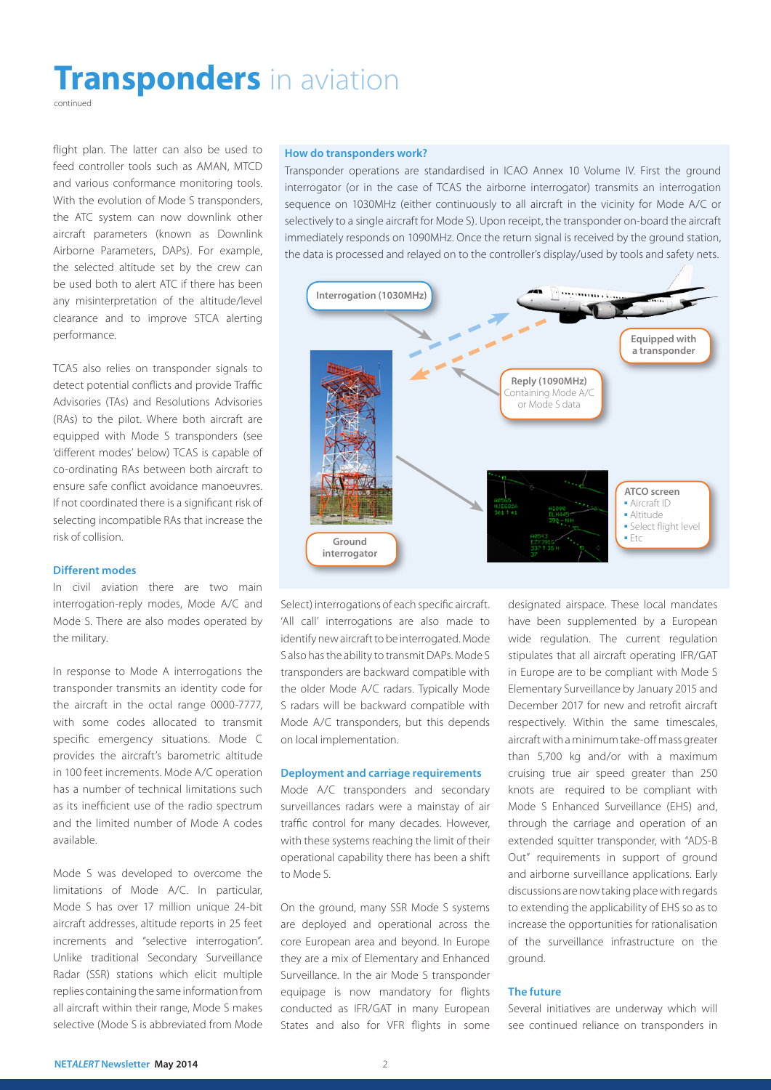## **Transponders** in aviation

continued

flight plan. The latter can also be used to feed controller tools such as AMAN, MTCD and various conformance monitoring tools. With the evolution of Mode S transponders, the ATC system can now downlink other aircraft parameters (known as Downlink Airborne Parameters, DAPs). For example, the selected altitude set by the crew can be used both to alert ATC if there has been any misinterpretation of the altitude/level clearance and to improve STCA alerting performance.

TCAS also relies on transponder signals to detect potential conflicts and provide Traffic Advisories (TAs) and Resolutions Advisories (RAs) to the pilot. Where both aircraft are equipped with Mode S transponders (see 'different modes' below) TCAS is capable of co-ordinating RAs between both aircraft to ensure safe conflict avoidance manoeuvres. If not coordinated there is a significant risk of selecting incompatible RAs that increase the risk of collision.

#### Different modes

In civil aviation there are two main interrogation-reply modes, Mode A/C and Mode S. There are also modes operated by the military.

In response to Mode A interrogations the transponder transmits an identity code for the aircraft in the octal range 0000-7777, with some codes allocated to transmit specific emergency situations. Mode C provides the aircraft's barometric altitude in 100 feet increments. Mode A/C operation has a number of technical limitations such as its inefficient use of the radio spectrum and the limited number of Mode A codes available.

Mode S was developed to overcome the limitations of Mode A/C. In particular, Mode S has over 17 million unique 24-bit aircraft addresses, altitude reports in 25 feet increments and "selective interrogation". Unlike traditional Secondary Surveillance Radar (SSR) stations which elicit multiple replies containing the same information from all aircraft within their range, Mode S makes selective (Mode S is abbreviated from Mode

#### How do transponders work?

Transponder operations are standardised in ICAO Annex 10 Volume IV. First the ground interrogator (or in the case of TCAS the airborne interrogator) transmits an interrogation sequence on 1030MHz (either continuously to all aircraft in the vicinity for Mode A/C or selectively to a single aircraft for Mode S). Upon receipt, the transponder on-board the aircraft immediately responds on 1090MHz. Once the return signal is received by the ground station, the data is processed and relayed on to the controller's display/used by tools and safety nets.



Select) interrogations of each specific aircraft. 'All call' interrogations are also made to identify new aircraft to be interrogated. Mode S also has the ability to transmit DAPs. Mode S transponders are backward compatible with the older Mode A/C radars. Typically Mode S radars will be backward compatible with Mode A/C transponders, but this depends on local implementation.

#### Deployment and carriage requirements

Mode A/C transponders and secondary surveillances radars were a mainstay of air traffic control for many decades. However, with these systems reaching the limit of their operational capability there has been a shift to Mode S.

On the ground, many SSR Mode S systems are deployed and operational across the core European area and beyond. In Europe they are a mix of Elementary and Enhanced Surveillance. In the air Mode S transponder equipage is now mandatory for flights conducted as IFR/GAT in many European States and also for VFR flights in some

designated airspace. These local mandates have been supplemented by a European wide regulation. The current regulation stipulates that all aircraft operating IFR/GAT in Europe are to be compliant with Mode S Elementary Surveillance by January 2015 and December 2017 for new and retrofit aircraft respectively. Within the same timescales, aircraft with a minimum take-off mass greater than 5,700 kg and/or with a maximum cruising true air speed greater than 250 knots are required to be compliant with Mode S Enhanced Surveillance (EHS) and, through the carriage and operation of an extended squitter transponder, with "ADS-B Out" requirements in support of ground and airborne surveillance applications. Early discussions are now taking place with regards to extending the applicability of EHS so as to increase the opportunities for rationalisation of the surveillance infrastructure on the ground.

#### The future

Several initiatives are underway which will see continued reliance on transponders in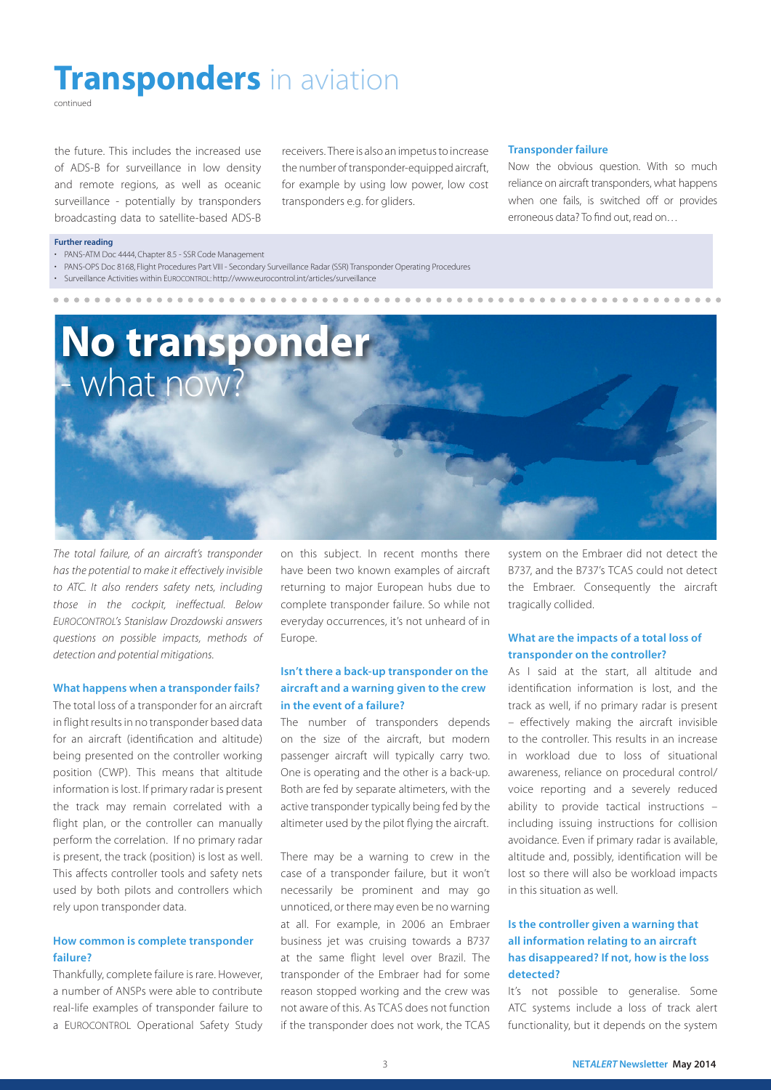# **Transponders** in aviation

continued

the future. This includes the increased use of ADS-B for surveillance in low density and remote regions, as well as oceanic surveillance - potentially by transponders broadcasting data to satellite-based ADS-B receivers. There is also an impetus to increase the number of transponder-equipped aircraft, for example by using low power, low cost transponders e.g. for gliders.

#### Transponder failure

Now the obvious question. With so much reliance on aircraft transponders, what happens when one fails, is switched off or provides erroneous data? To find out, read on…

#### Further reading

- PANS-ATM Doc 4444, Chapter 8.5 SSR Code Management
- • PANS-OPS Doc 8168, Flight Procedures Part VIII Secondary Surveillance Radar (SSR) Transponder Operating Procedures
- • Surveillance Activities within EUROCONTROL: http://www.eurocontrol.int/articles/surveillance



*The total failure, of an aircraft's transponder has the potential to make it effectively invisible to ATC. It also renders safety nets, including those in the cockpit, ineffectual. Below EUROCONTROL's Stanislaw Drozdowski answers questions on possible impacts, methods of detection and potential mitigations.*

#### What happens when a transponder fails?

The total loss of a transponder for an aircraft in flight results in no transponder based data for an aircraft (identification and altitude) being presented on the controller working position (CWP). This means that altitude information is lost. If primary radar is present the track may remain correlated with a flight plan, or the controller can manually perform the correlation. If no primary radar is present, the track (position) is lost as well. This affects controller tools and safety nets used by both pilots and controllers which rely upon transponder data.

#### How common is complete transponder failure?

Thankfully, complete failure is rare. However, a number of ANSPs were able to contribute real-life examples of transponder failure to a EUROCONTROL Operational Safety Study

on this subject. In recent months there have been two known examples of aircraft returning to major European hubs due to complete transponder failure. So while not everyday occurrences, it's not unheard of in Europe.

#### Isn't there a back-up transponder on the aircraft and a warning given to the crew in the event of a failure?

The number of transponders depends on the size of the aircraft, but modern passenger aircraft will typically carry two. One is operating and the other is a back-up. Both are fed by separate altimeters, with the active transponder typically being fed by the altimeter used by the pilot flying the aircraft.

There may be a warning to crew in the case of a transponder failure, but it won't necessarily be prominent and may go unnoticed, or there may even be no warning at all. For example, in 2006 an Embraer business jet was cruising towards a B737 at the same flight level over Brazil. The transponder of the Embraer had for some reason stopped working and the crew was not aware of this. As TCAS does not function if the transponder does not work, the TCAS system on the Embraer did not detect the B737, and the B737's TCAS could not detect the Embraer. Consequently the aircraft tragically collided.

#### What are the impacts of a total loss of transponder on the controller?

As I said at the start, all altitude and identification information is lost, and the track as well, if no primary radar is present – effectively making the aircraft invisible to the controller. This results in an increase in workload due to loss of situational awareness, reliance on procedural control/ voice reporting and a severely reduced ability to provide tactical instructions – including issuing instructions for collision avoidance. Even if primary radar is available, altitude and, possibly, identification will be lost so there will also be workload impacts in this situation as well.

#### Is the controller given a warning that all information relating to an aircraft has disappeared? If not, how is the loss detected?

It's not possible to generalise. Some ATC systems include a loss of track alert functionality, but it depends on the system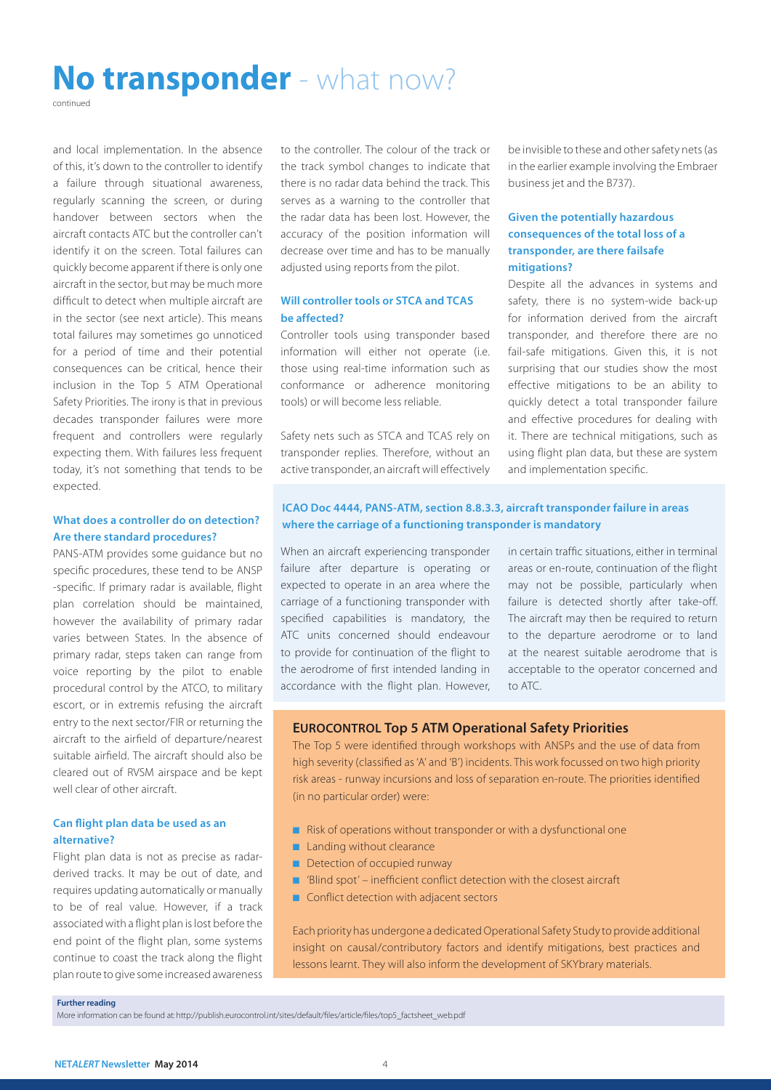### No transponder - what now?

continued

and local implementation. In the absence of this, it's down to the controller to identify a failure through situational awareness, regularly scanning the screen, or during handover between sectors when the aircraft contacts ATC but the controller can't identify it on the screen. Total failures can quickly become apparent if there is only one aircraft in the sector, but may be much more difficult to detect when multiple aircraft are in the sector (see next article). This means total failures may sometimes go unnoticed for a period of time and their potential consequences can be critical, hence their inclusion in the Top 5 ATM Operational Safety Priorities. The irony is that in previous decades transponder failures were more frequent and controllers were regularly expecting them. With failures less frequent today, it's not something that tends to be expected.

#### What does a controller do on detection? Are there standard procedures?

PANS-ATM provides some guidance but no specific procedures, these tend to be ANSP -specific. If primary radar is available, flight plan correlation should be maintained, however the availability of primary radar varies between States. In the absence of primary radar, steps taken can range from voice reporting by the pilot to enable procedural control by the ATCO, to military escort, or in extremis refusing the aircraft entry to the next sector/FIR or returning the aircraft to the airfield of departure/nearest suitable airfield. The aircraft should also be cleared out of RVSM airspace and be kept well clear of other aircraft.

#### Can flight plan data be used as an alternative?

Flight plan data is not as precise as radarderived tracks. It may be out of date, and requires updating automatically or manually to be of real value. However, if a track associated with a flight plan is lost before the end point of the flight plan, some systems continue to coast the track along the flight plan route to give some increased awareness to the controller. The colour of the track or the track symbol changes to indicate that there is no radar data behind the track. This serves as a warning to the controller that the radar data has been lost. However, the accuracy of the position information will decrease over time and has to be manually adjusted using reports from the pilot.

#### Will controller tools or STCA and TCAS be affected?

Controller tools using transponder based information will either not operate (i.e. those using real-time information such as conformance or adherence monitoring tools) or will become less reliable.

Safety nets such as STCA and TCAS rely on transponder replies. Therefore, without an active transponder, an aircraft will effectively be invisible to these and other safety nets (as in the earlier example involving the Embraer business jet and the B737).

#### Given the potentially hazardous consequences of the total loss of a transponder, are there failsafe mitigations?

Despite all the advances in systems and safety, there is no system-wide back-up for information derived from the aircraft transponder, and therefore there are no fail-safe mitigations. Given this, it is not surprising that our studies show the most effective mitigations to be an ability to quickly detect a total transponder failure and effective procedures for dealing with it. There are technical mitigations, such as using flight plan data, but these are system and implementation specific.

#### ICAO Doc 4444, PANS-ATM, section 8.8.3.3, aircraft transponder failure in areas where the carriage of a functioning transponder is mandatory

When an aircraft experiencing transponder failure after departure is operating or expected to operate in an area where the carriage of a functioning transponder with specified capabilities is mandatory, the ATC units concerned should endeavour to provide for continuation of the flight to the aerodrome of first intended landing in accordance with the flight plan. However, in certain traffic situations, either in terminal areas or en-route, continuation of the flight may not be possible, particularly when failure is detected shortly after take-off. The aircraft may then be required to return to the departure aerodrome or to land at the nearest suitable aerodrome that is acceptable to the operator concerned and to ATC.

#### EUROCONTROL Top 5 ATM Operational Safety Priorities

The Top 5 were identified through workshops with ANSPs and the use of data from high severity (classified as 'A' and 'B') incidents. This work focussed on two high priority risk areas - runway incursions and loss of separation en-route. The priorities identified (in no particular order) were:

- Risk of operations without transponder or with a dysfunctional one
- Landing without clearance
- Detection of occupied runway
- 'Blind spot' inefficient conflict detection with the closest aircraft
- Conflict detection with adjacent sectors

Each priority has undergone a dedicated Operational Safety Study to provide additional insight on causal/contributory factors and identify mitigations, best practices and lessons learnt. They will also inform the development of SKYbrary materials.

#### Further reading

More information can be found at: http://publish.eurocontrol.int/sites/default/files/article/files/top5\_factsheet\_web.pdf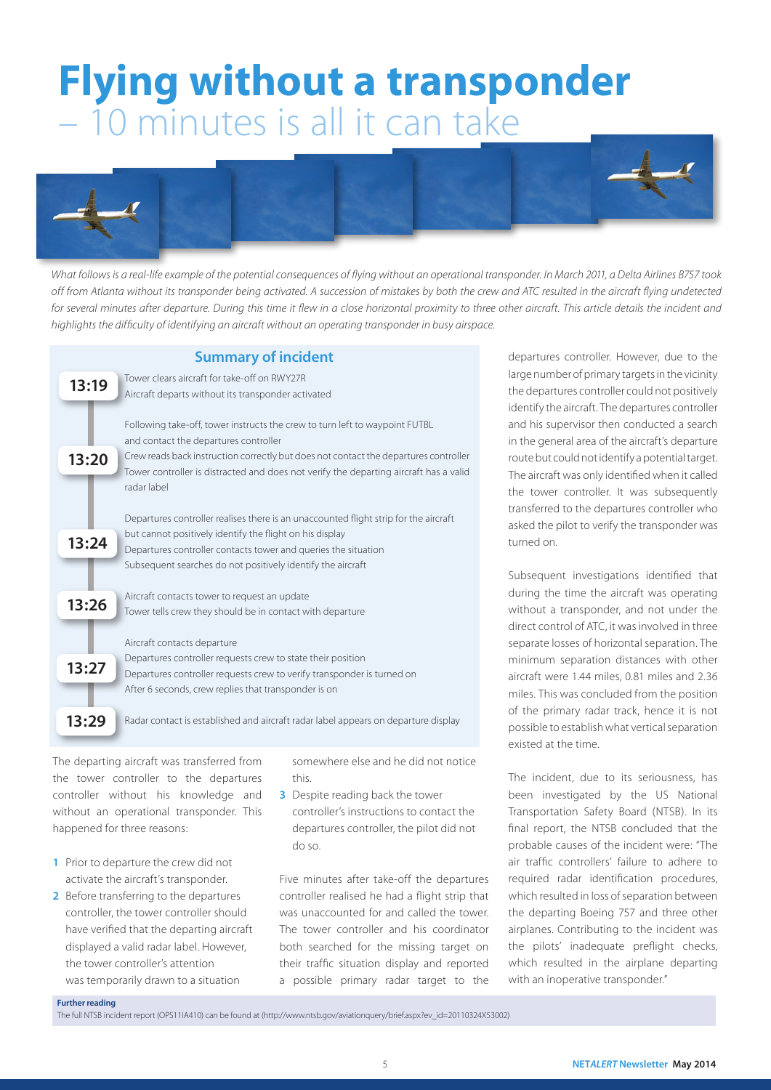# Flying without a transponder – 10 minutes is all it can take



*What follows is a real-life example of the potential consequences of flying without an operational transponder. In March 2011, a Delta Airlines B757 took*  off from Atlanta without its transponder being activated. A succession of mistakes by both the crew and ATC resulted in the aircraft flying undetected *for several minutes after departure. During this time it flew in a close horizontal proximity to three other aircraft. This article details the incident and highlights the difficulty of identifying an aircraft without an operating transponder in busy airspace.*

#### Summary of incident

| 13:19 | Tower clears aircraft for take-off on RWY27R<br>Aircraft departs without its transponder activated                                                                                                                                                                                                                   |
|-------|----------------------------------------------------------------------------------------------------------------------------------------------------------------------------------------------------------------------------------------------------------------------------------------------------------------------|
| 13:20 | Following take-off, tower instructs the crew to turn left to waypoint FUTBL<br>and contact the departures controller<br>Crew reads back instruction correctly but does not contact the departures controller<br>Tower controller is distracted and does not verify the departing aircraft has a valid<br>radar label |
| 13:24 | Departures controller realises there is an unaccounted flight strip for the aircraft<br>but cannot positively identify the flight on his display<br>Departures controller contacts tower and queries the situation<br>Subsequent searches do not positively identify the aircraft                                    |
| 13:26 | Aircraft contacts tower to request an update<br>Tower tells crew they should be in contact with departure                                                                                                                                                                                                            |
| 13:27 | Aircraft contacts departure<br>Departures controller requests crew to state their position<br>Departures controller requests crew to verify transponder is turned on<br>After 6 seconds, crew replies that transponder is on                                                                                         |
| 13:29 | Radar contact is established and aircraft radar label appears on departure display                                                                                                                                                                                                                                   |

The departing aircraft was transferred from the tower controller to the departures controller without his knowledge and without an operational transponder. This happened for three reasons:

- 1 Prior to departure the crew did not activate the aircraft's transponder.
- 2 Before transferring to the departures controller, the tower controller should have verified that the departing aircraft displayed a valid radar label. However, the tower controller's attention was temporarily drawn to a situation

somewhere else and he did not notice this.

**3** Despite reading back the tower controller's instructions to contact the departures controller, the pilot did not do so.

Five minutes after take-off the departures controller realised he had a flight strip that was unaccounted for and called the tower. The tower controller and his coordinator both searched for the missing target on their traffic situation display and reported a possible primary radar target to the departures controller. However, due to the large number of primary targets in the vicinity the departures controller could not positively identify the aircraft. The departures controller and his supervisor then conducted a search in the general area of the aircraft's departure route but could not identify a potential target. The aircraft was only identified when it called the tower controller. It was subsequently transferred to the departures controller who asked the pilot to verify the transponder was turned on.

Subsequent investigations identified that during the time the aircraft was operating without a transponder, and not under the direct control of ATC, it was involved in three separate losses of horizontal separation. The minimum separation distances with other aircraft were 1.44 miles, 0.81 miles and 2.36 miles. This was concluded from the position of the primary radar track, hence it is not possible to establish what vertical separation existed at the time.

The incident, due to its seriousness, has been investigated by the US National Transportation Safety Board (NTSB). In its final report, the NTSB concluded that the probable causes of the incident were: "The air traffic controllers' failure to adhere to required radar identification procedures, which resulted in loss of separation between the departing Boeing 757 and three other airplanes. Contributing to the incident was the pilots' inadequate preflight checks, which resulted in the airplane departing with an inoperative transponder."

#### Further reading

The full NTSB incident report (OPS11IA410) can be found at (http://www.ntsb.gov/aviationquery/brief.aspx?ev\_id=20110324X53002)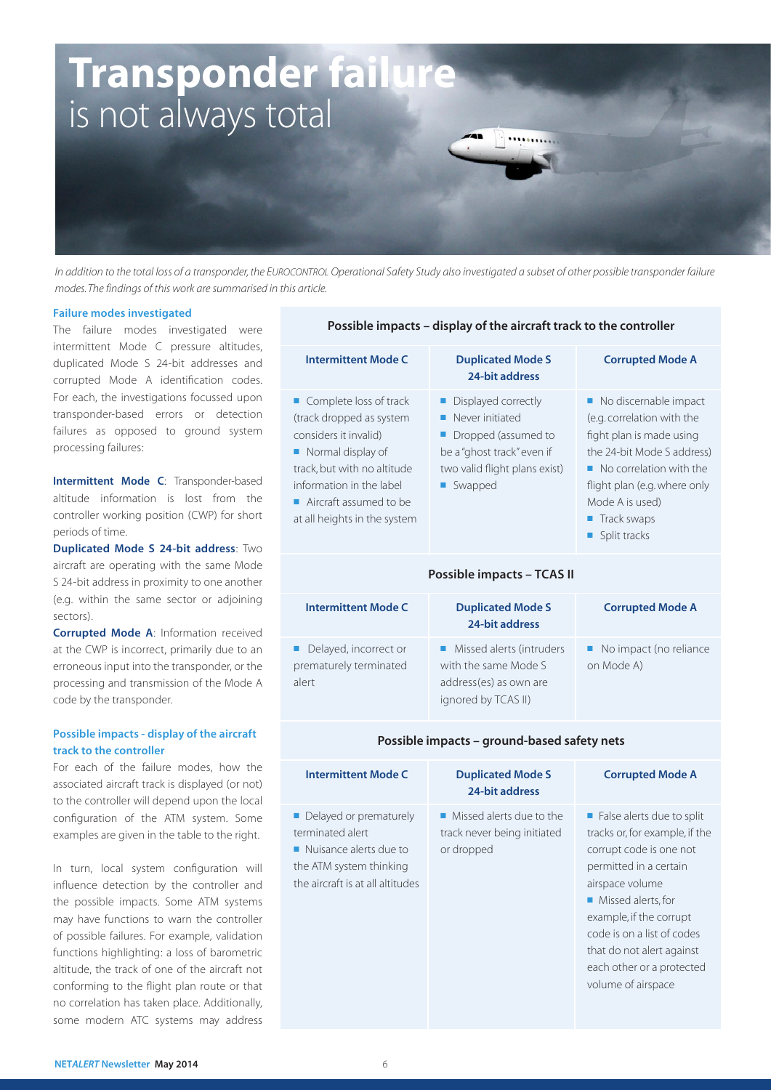

*In addition to the total loss of a transponder, the EUROCONTROL Operational Safety Study also investigated a subset of other possible transponder failure modes. The findings of this work are summarised in this article.* 

prematurely terminated

alert

#### Failure modes investigated

The failure modes investigated were intermittent Mode C pressure altitudes, duplicated Mode S 24-bit addresses and corrupted Mode A identification codes. For each, the investigations focussed upon transponder-based errors or detection failures as opposed to ground system processing failures:

Intermittent Mode C: Transponder-based altitude information is lost from the controller working position (CWP) for short periods of time.

Duplicated Mode S 24-bit address: Two aircraft are operating with the same Mode S 24-bit address in proximity to one another (e.g. within the same sector or adjoining sectors).

Corrupted Mode A: Information received at the CWP is incorrect, primarily due to an erroneous input into the transponder, or the processing and transmission of the Mode A code by the transponder.

#### Possible impacts - display of the aircraft track to the controller

For each of the failure modes, how the associated aircraft track is displayed (or not) to the controller will depend upon the local configuration of the ATM system. Some examples are given in the table to the right.

In turn, local system configuration will influence detection by the controller and the possible impacts. Some ATM systems may have functions to warn the controller of possible failures. For example, validation functions highlighting: a loss of barometric altitude, the track of one of the aircraft not conforming to the flight plan route or that no correlation has taken place. Additionally, some modern ATC systems may address

#### Possible impacts – display of the aircraft track to the controller

| <b>Intermittent Mode C</b>                                                                                                                                                                                                             | <b>Duplicated Mode S</b><br>24-bit address                                                                                              | <b>Corrupted Mode A</b>                                                                                                                                                                                                        |  |  |  |
|----------------------------------------------------------------------------------------------------------------------------------------------------------------------------------------------------------------------------------------|-----------------------------------------------------------------------------------------------------------------------------------------|--------------------------------------------------------------------------------------------------------------------------------------------------------------------------------------------------------------------------------|--|--|--|
| ■ Complete loss of track<br>(track dropped as system<br>considers it invalid)<br>Normal display of<br>track, but with no altitude<br>information in the label<br>$\blacksquare$ Aircraft assumed to be<br>at all heights in the system | Displayed correctly<br>Never initiated<br>Dropped (assumed to<br>be a "ghost track" even if<br>two valid flight plans exist)<br>Swapped | No discernable impact<br>(e.g. correlation with the<br>fight plan is made using<br>the 24-bit Mode S address)<br>• No correlation with the<br>flight plan (e.g. where only<br>Mode A is used)<br>■ Track swaps<br>Split tracks |  |  |  |
| Possible impacts - TCAS II                                                                                                                                                                                                             |                                                                                                                                         |                                                                                                                                                                                                                                |  |  |  |
| <b>Intermittent Mode C</b>                                                                                                                                                                                                             | <b>Duplicated Mode S</b><br>24-bit address                                                                                              | <b>Corrupted Mode A</b>                                                                                                                                                                                                        |  |  |  |
| Delayed, incorrect or                                                                                                                                                                                                                  | Missed alerts (intruders                                                                                                                | No impact (no reliance                                                                                                                                                                                                         |  |  |  |

#### Possible impacts – ground-based safety nets

with the same Mode S address(es) as own are ignored by TCAS II)

on Mode A)

| <b>Intermittent Mode C</b>                                                                                                                           | <b>Duplicated Mode S</b><br>24-bit address                                           | <b>Corrupted Mode A</b>                                                                                                                                                                                                                                                                                             |  |  |  |
|------------------------------------------------------------------------------------------------------------------------------------------------------|--------------------------------------------------------------------------------------|---------------------------------------------------------------------------------------------------------------------------------------------------------------------------------------------------------------------------------------------------------------------------------------------------------------------|--|--|--|
| • Delayed or prematurely<br>terminated alert<br>$\blacksquare$ Nuisance alerts due to<br>the ATM system thinking<br>the aircraft is at all altitudes | $\blacksquare$ Missed alerts due to the<br>track never being initiated<br>or dropped | $\blacksquare$ False alerts due to split<br>tracks or, for example, if the<br>corrupt code is one not<br>permitted in a certain<br>airspace volume<br>• Missed alerts, for<br>example, if the corrupt<br>code is on a list of codes<br>that do not alert against<br>each other or a protected<br>volume of airspace |  |  |  |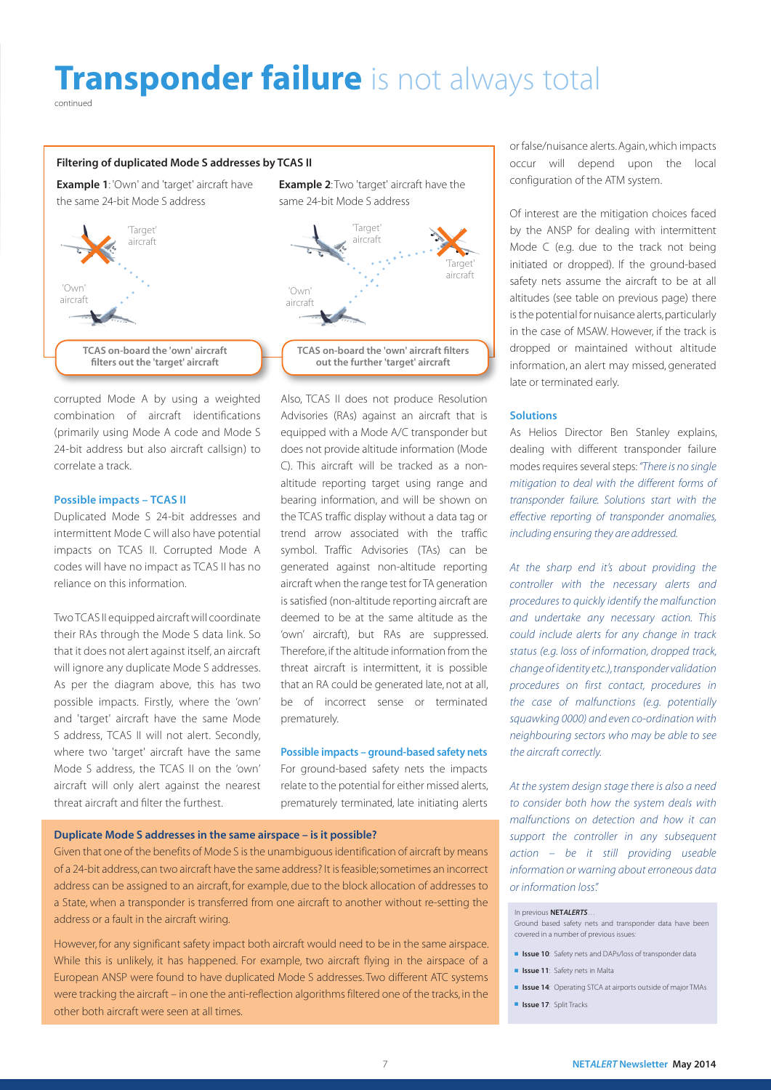# **Transponder failure** is not always total

continued

#### Filtering of duplicated Mode S addresses by TCAS II

**Example 1:** 'Own' and 'target' aircraft have the same 24-bit Mode S address



corrupted Mode A by using a weighted combination of aircraft identifications (primarily using Mode A code and Mode S 24-bit address but also aircraft callsign) to correlate a track.

#### Possible impacts – TCAS II

Duplicated Mode S 24-bit addresses and intermittent Mode C will also have potential impacts on TCAS II. Corrupted Mode A codes will have no impact as TCAS II has no reliance on this information.

Two TCAS II equipped aircraft will coordinate their RAs through the Mode S data link. So that it does not alert against itself, an aircraft will ignore any duplicate Mode S addresses. As per the diagram above, this has two possible impacts. Firstly, where the 'own' and 'target' aircraft have the same Mode S address, TCAS II will not alert. Secondly, where two 'target' aircraft have the same Mode S address, the TCAS II on the 'own' aircraft will only alert against the nearest threat aircraft and filter the furthest.

**Example 2:** Two 'target' aircraft have the same 24-bit Mode S address



Also, TCAS II does not produce Resolution Advisories (RAs) against an aircraft that is equipped with a Mode A/C transponder but does not provide altitude information (Mode C). This aircraft will be tracked as a nonaltitude reporting target using range and bearing information, and will be shown on the TCAS traffic display without a data tag or trend arrow associated with the traffic symbol. Traffic Advisories (TAs) can be generated against non-altitude reporting aircraft when the range test for TA generation is satisfied (non-altitude reporting aircraft are deemed to be at the same altitude as the 'own' aircraft), but RAs are suppressed. Therefore, if the altitude information from the threat aircraft is intermittent, it is possible that an RA could be generated late, not at all, be of incorrect sense or terminated prematurely.

#### Possible impacts – ground-based safety nets

For ground-based safety nets the impacts relate to the potential for either missed alerts, prematurely terminated, late initiating alerts

#### Duplicate Mode S addresses in the same airspace – is it possible?

Given that one of the benefits of Mode S is the unambiguous identification of aircraft by means of a 24-bit address, can two aircraft have the same address? It is feasible; sometimes an incorrect address can be assigned to an aircraft, for example, due to the block allocation of addresses to a State, when a transponder is transferred from one aircraft to another without re-setting the address or a fault in the aircraft wiring.

However, for any significant safety impact both aircraft would need to be in the same airspace. While this is unlikely, it has happened. For example, two aircraft flying in the airspace of a European ANSP were found to have duplicated Mode S addresses. Two different ATC systems were tracking the aircraft – in one the anti-reflection algorithms filtered one of the tracks, in the other both aircraft were seen at all times.

or false/nuisance alerts. Again, which impacts occur will depend upon the local configuration of the ATM system.

Of interest are the mitigation choices faced by the ANSP for dealing with intermittent Mode C (e.g. due to the track not being initiated or dropped). If the ground-based safety nets assume the aircraft to be at all altitudes (see table on previous page) there is the potential for nuisance alerts, particularly in the case of MSAW. However, if the track is dropped or maintained without altitude information, an alert may missed, generated late or terminated early.

#### Solutions

As Helios Director Ben Stanley explains, dealing with different transponder failure modes requires several steps: *"There is no single mitigation to deal with the different forms of transponder failure. Solutions start with the effective reporting of transponder anomalies, including ensuring they are addressed.*

*At the sharp end it's about providing the controller with the necessary alerts and procedures to quickly identify the malfunction and undertake any necessary action. This could include alerts for any change in track status (e.g. loss of information, dropped track, change of identity etc.), transponder validation procedures on first contact, procedures in the case of malfunctions (e.g. potentially squawking 0000) and even co-ordination with neighbouring sectors who may be able to see the aircraft correctly.*

*At the system design stage there is also a need to consider both how the system deals with malfunctions on detection and how it can support the controller in any subsequent action – be it still providing useable information or warning about erroneous data or information loss".*

#### In previous NET*ALERTS*…

Ground based safety nets and transponder data have been covered in a number of previous issues:

- Issue 10: Safety nets and DAPs/loss of transponder data
	- Issue 11: Safety nets in Malta
	- Issue 14: Operating STCA at airports outside of major TMAs
	- **Issue 17:** Split Tracks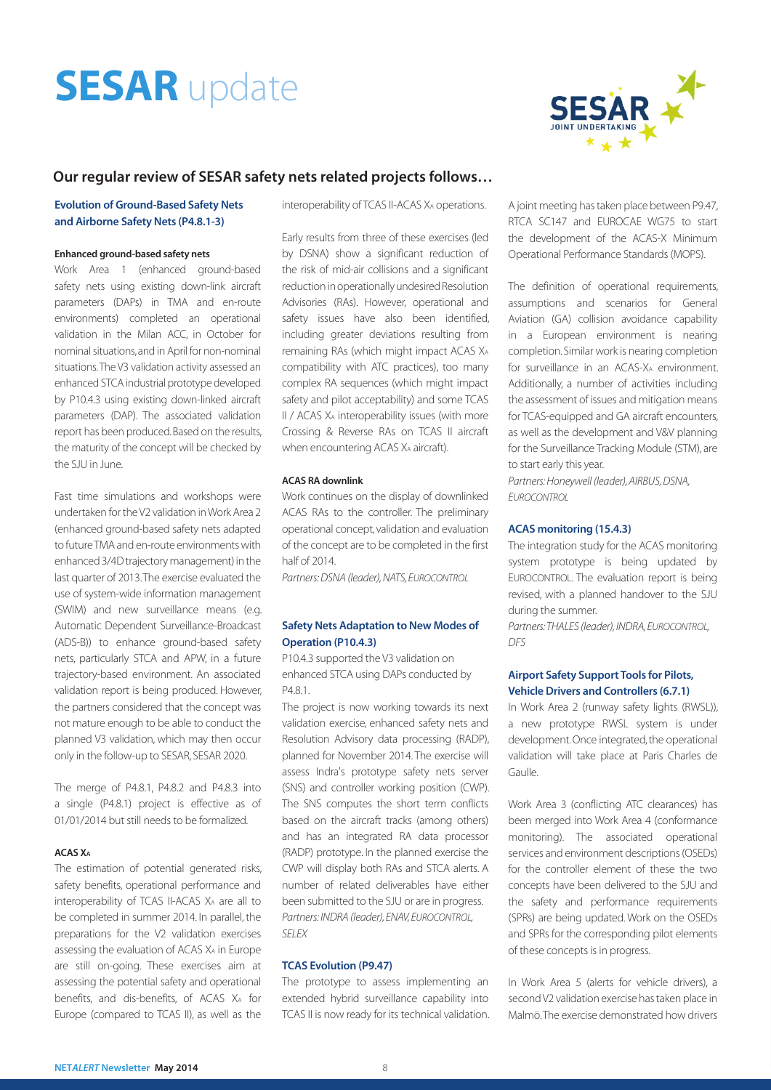# **SESAR** update



#### Our regular review of SESAR safety nets related projects follows…

#### Evolution of Ground-Based Safety Nets and Airborne Safety Nets (P4.8.1-3)

#### Enhanced ground-based safety nets

Work Area 1 (enhanced ground-based safety nets using existing down-link aircraft parameters (DAPs) in TMA and en-route environments) completed an operational validation in the Milan ACC, in October for nominal situations, and in April for non-nominal situations. The V3 validation activity assessed an enhanced STCA industrial prototype developed by P10.4.3 using existing down-linked aircraft parameters (DAP). The associated validation report has been produced. Based on the results, the maturity of the concept will be checked by the SJU in June.

Fast time simulations and workshops were undertaken for the V2 validation in Work Area 2 (enhanced ground-based safety nets adapted to future TMA and en-route environments with enhanced 3/4D trajectory management) in the last quarter of 2013. The exercise evaluated the use of system-wide information management (SWIM) and new surveillance means (e.g. Automatic Dependent Surveillance-Broadcast (ADS-B)) to enhance ground-based safety nets, particularly STCA and APW, in a future trajectory-based environment. An associated validation report is being produced. However, the partners considered that the concept was not mature enough to be able to conduct the planned V3 validation, which may then occur only in the follow-up to SESAR, SESAR 2020.

The merge of P4.8.1, P4.8.2 and P4.8.3 into a single (P4.8.1) project is effective as of 01/01/2014 but still needs to be formalized.

#### ACAS XA

The estimation of potential generated risks, safety benefits, operational performance and interoperability of TCAS II-ACAS XA are all to be completed in summer 2014. In parallel, the preparations for the V2 validation exercises assessing the evaluation of ACAS XA in Europe are still on-going. These exercises aim at assessing the potential safety and operational benefits, and dis-benefits, of ACAS XA for Europe (compared to TCAS II), as well as the

interoperability of TCAS II-ACAS XA operations.

Early results from three of these exercises (led by DSNA) show a significant reduction of the risk of mid-air collisions and a significant reduction in operationally undesired Resolution Advisories (RAs). However, operational and safety issues have also been identified, including greater deviations resulting from remaining RAs (which might impact ACAS XA compatibility with ATC practices), too many complex RA sequences (which might impact safety and pilot acceptability) and some TCAS II / ACAS XA interoperability issues (with more Crossing & Reverse RAs on TCAS II aircraft when encountering ACAS X<sub>A</sub> aircraft).

#### ACAS RA downlink

Work continues on the display of downlinked ACAS RAs to the controller. The preliminary operational concept, validation and evaluation of the concept are to be completed in the first half of 2014.

*Partners: DSNA (leader), NATS, EUROCONTROL*

#### Safety Nets Adaptation to New Modes of Operation (P10.4.3)

P10.4.3 supported the V3 validation on enhanced STCA using DAPs conducted by P4.8.1.

The project is now working towards its next validation exercise, enhanced safety nets and Resolution Advisory data processing (RADP), planned for November 2014. The exercise will assess Indra's prototype safety nets server (SNS) and controller working position (CWP). The SNS computes the short term conflicts based on the aircraft tracks (among others) and has an integrated RA data processor (RADP) prototype. In the planned exercise the CWP will display both RAs and STCA alerts. A number of related deliverables have either been submitted to the SJU or are in progress. *Partners: INDRA (leader), ENAV, EUROCONTROL, SELEX*

#### TCAS Evolution (P9.47)

The prototype to assess implementing an extended hybrid surveillance capability into TCAS II is now ready for its technical validation. A joint meeting has taken place between P9.47, RTCA SC147 and EUROCAE WG75 to start the development of the ACAS-X Minimum Operational Performance Standards (MOPS).

The definition of operational requirements, assumptions and scenarios for General Aviation (GA) collision avoidance capability in a European environment is nearing completion. Similar work is nearing completion for surveillance in an ACAS-XA environment. Additionally, a number of activities including the assessment of issues and mitigation means for TCAS-equipped and GA aircraft encounters, as well as the development and V&V planning for the Surveillance Tracking Module (STM), are to start early this year.

*Partners: Honeywell (leader), AIRBUS, DSNA, EUROCONTROL*

#### ACAS monitoring (15.4.3)

The integration study for the ACAS monitoring system prototype is being updated by EUROCONTROL. The evaluation report is being revised, with a planned handover to the SJU during the summer.

*Partners: THALES (leader), INDRA, EUROCONTROL, DFS*

#### Airport Safety Support Tools for Pilots, Vehicle Drivers and Controllers (6.7.1)

In Work Area 2 (runway safety lights (RWSL)), a new prototype RWSL system is under development. Once integrated, the operational validation will take place at Paris Charles de Gaulle.

Work Area 3 (conflicting ATC clearances) has been merged into Work Area 4 (conformance monitoring). The associated operational services and environment descriptions (OSEDs) for the controller element of these the two concepts have been delivered to the SJU and the safety and performance requirements (SPRs) are being updated. Work on the OSEDs and SPRs for the corresponding pilot elements of these concepts is in progress.

In Work Area 5 (alerts for vehicle drivers), a second V2 validation exercise has taken place in Malmö. The exercise demonstrated how drivers